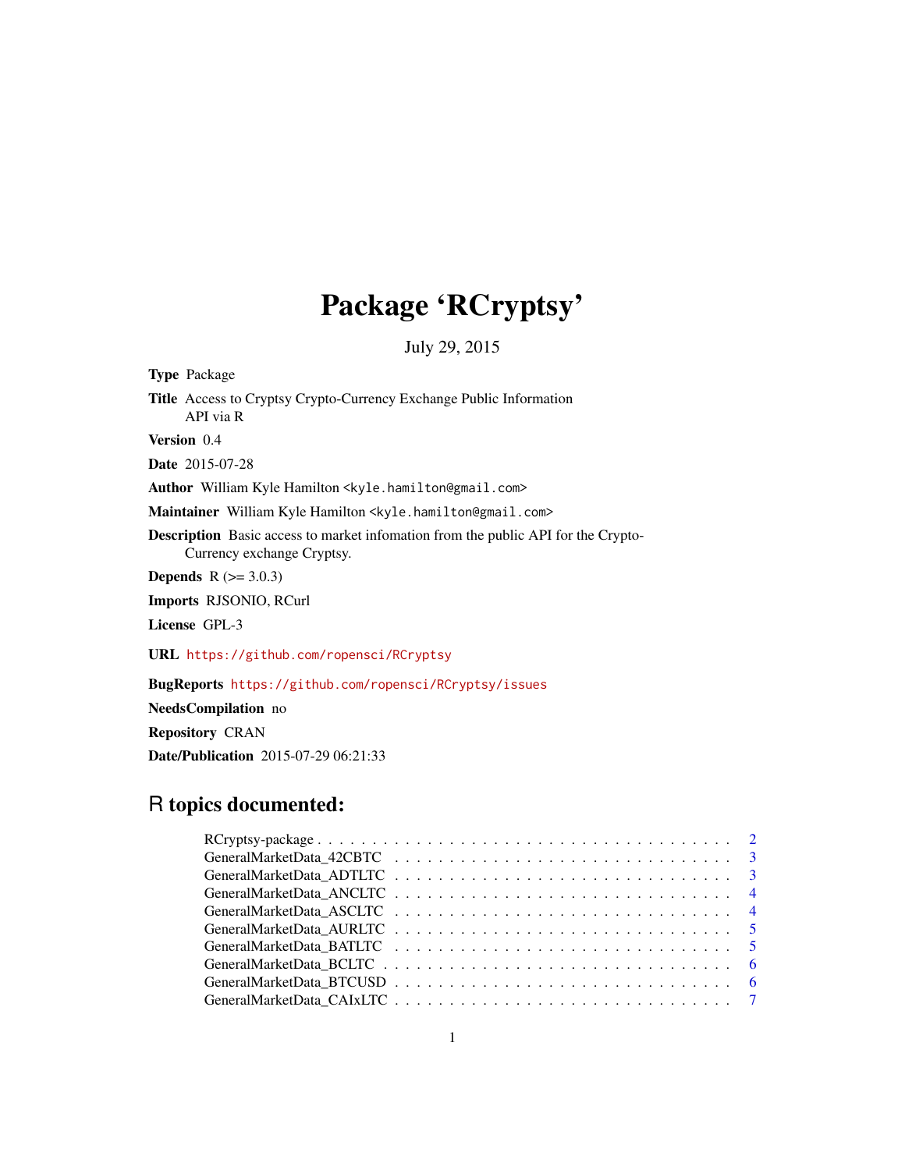# Package 'RCryptsy'

July 29, 2015

| <b>Type</b> Package                                                                                                    |  |  |
|------------------------------------------------------------------------------------------------------------------------|--|--|
| Title Access to Cryptsy Crypto-Currency Exchange Public Information<br>API via R                                       |  |  |
| <b>Version</b> 0.4                                                                                                     |  |  |
| <b>Date</b> 2015-07-28                                                                                                 |  |  |
| Author William Kyle Hamilton <kyle.hamilton@gmail.com></kyle.hamilton@gmail.com>                                       |  |  |
| Maintainer William Kyle Hamilton <kyle.hamilton@gmail.com></kyle.hamilton@gmail.com>                                   |  |  |
| <b>Description</b> Basic access to market infomation from the public API for the Crypto-<br>Currency exchange Cryptsy. |  |  |
| <b>Depends</b> $R (= 3.0.3)$                                                                                           |  |  |
| <b>Imports RJSONIO, RCurl</b>                                                                                          |  |  |
| License GPL-3                                                                                                          |  |  |
| URL https://github.com/ropensci/RCryptsy                                                                               |  |  |
| <b>BugReports</b> https://github.com/ropensci/RCryptsy/issues                                                          |  |  |

NeedsCompilation no Repository CRAN Date/Publication 2015-07-29 06:21:33

# R topics documented: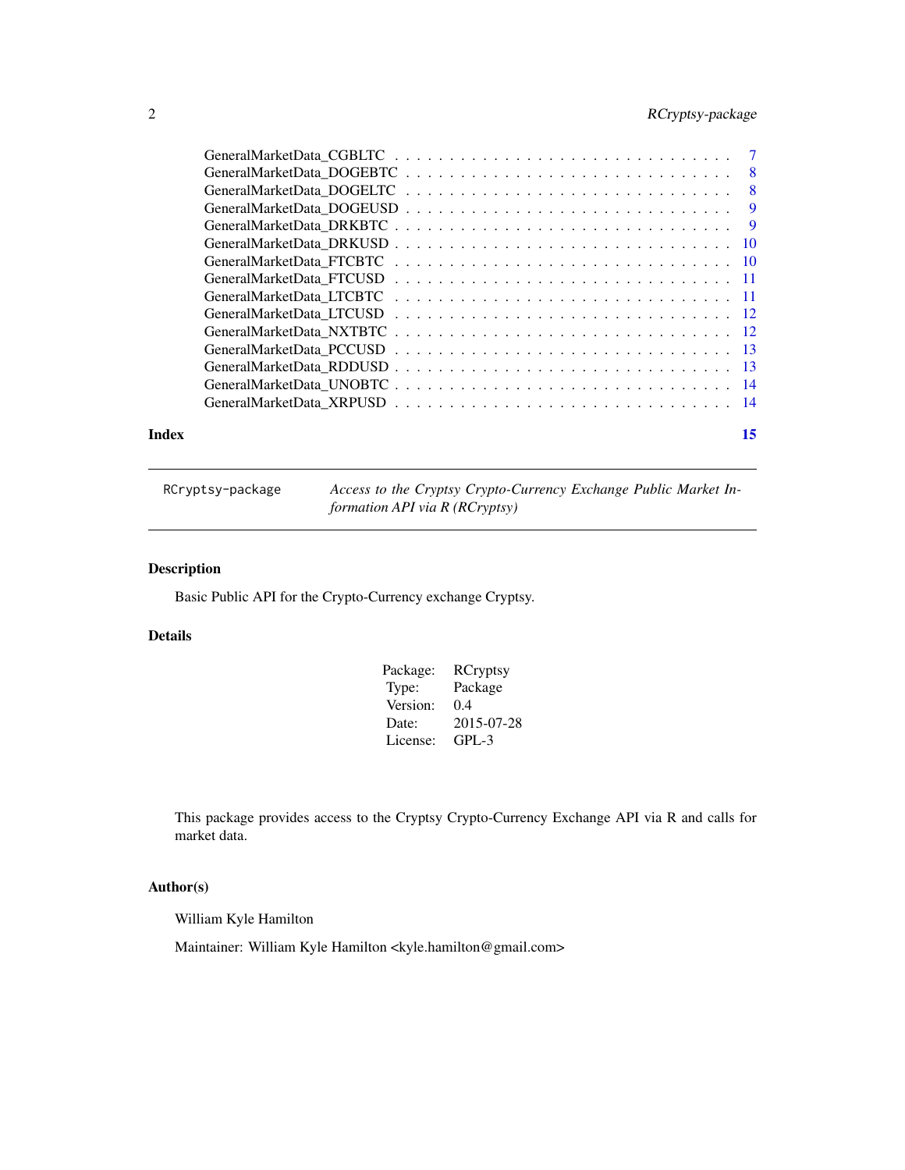# <span id="page-1-0"></span>2 RCryptsy-package

| Index | 15 |
|-------|----|

RCryptsy-package *Access to the Cryptsy Crypto-Currency Exchange Public Market Information API via R (RCryptsy)*

# Description

Basic Public API for the Crypto-Currency exchange Cryptsy.

# Details

| Package: | <b>RCryptsy</b> |
|----------|-----------------|
| Type:    | Package         |
| Version: | 0.4             |
| Date:    | 2015-07-28      |
| License: | $GPI - 3$       |

This package provides access to the Cryptsy Crypto-Currency Exchange API via R and calls for market data.

# Author(s)

William Kyle Hamilton

Maintainer: William Kyle Hamilton <kyle.hamilton@gmail.com>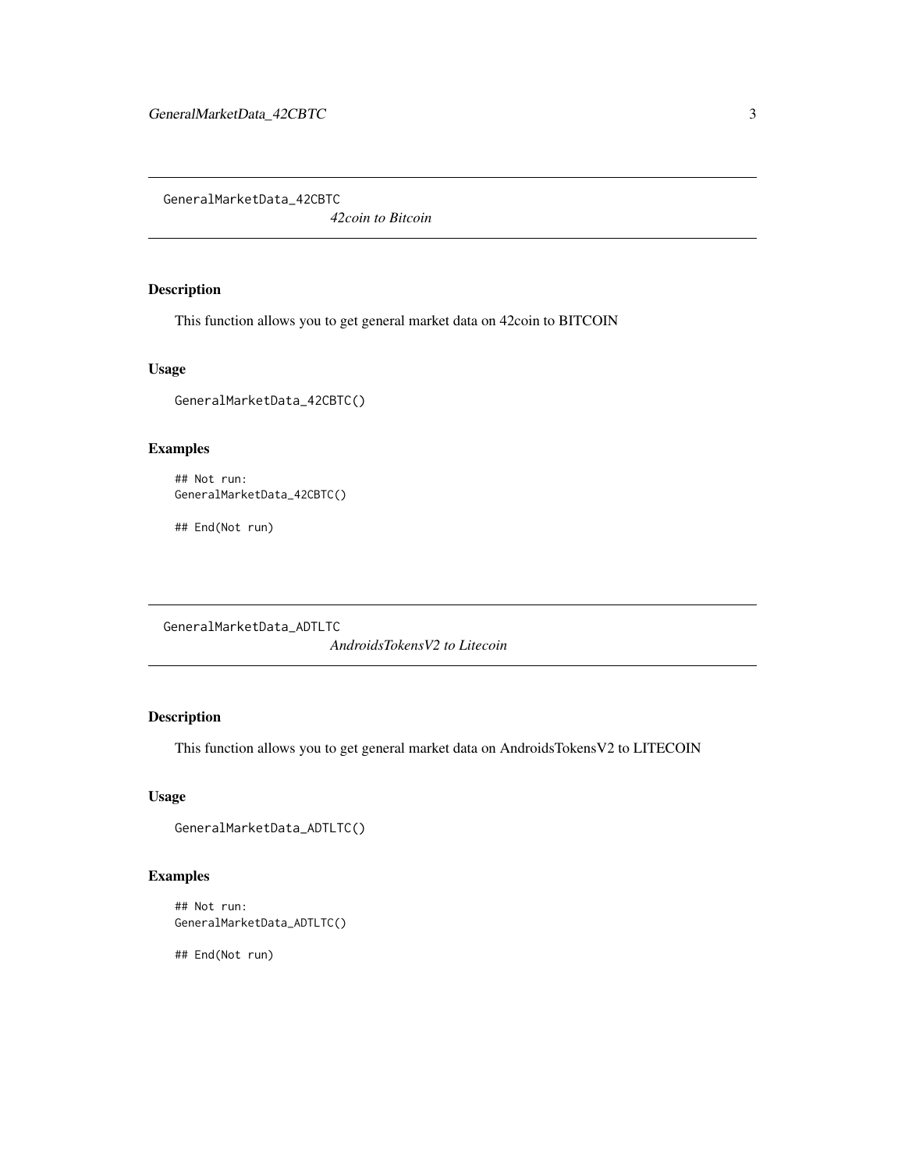<span id="page-2-0"></span>GeneralMarketData\_42CBTC

*42coin to Bitcoin*

# Description

This function allows you to get general market data on 42coin to BITCOIN

#### Usage

GeneralMarketData\_42CBTC()

# Examples

```
## Not run:
GeneralMarketData_42CBTC()
```
## End(Not run)

GeneralMarketData\_ADTLTC

*AndroidsTokensV2 to Litecoin*

# Description

This function allows you to get general market data on AndroidsTokensV2 to LITECOIN

# Usage

```
GeneralMarketData_ADTLTC()
```
# Examples

```
## Not run:
GeneralMarketData_ADTLTC()
```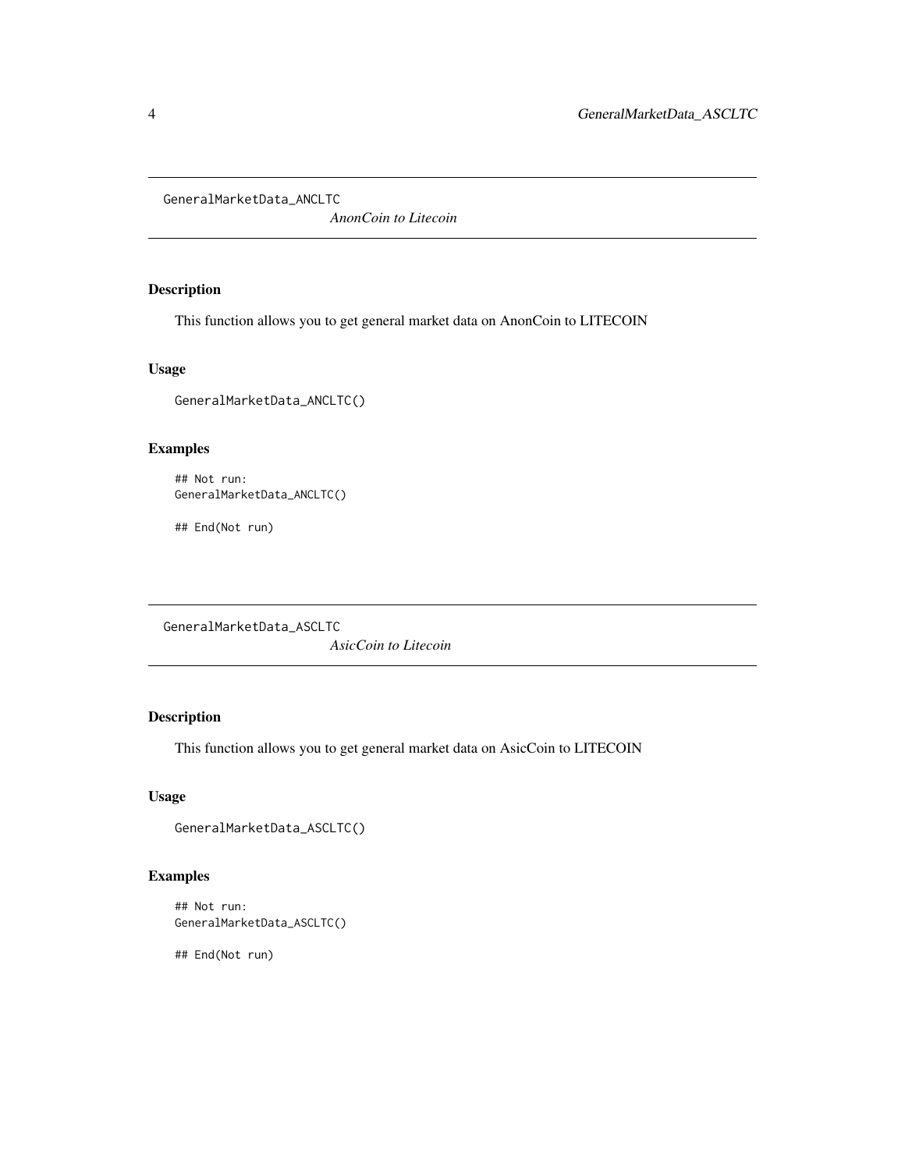<span id="page-3-0"></span>GeneralMarketData\_ANCLTC

*AnonCoin to Litecoin*

# Description

This function allows you to get general market data on AnonCoin to LITECOIN

#### Usage

GeneralMarketData\_ANCLTC()

# Examples

```
## Not run:
GeneralMarketData_ANCLTC()
```
## End(Not run)

GeneralMarketData\_ASCLTC

*AsicCoin to Litecoin*

# Description

This function allows you to get general market data on AsicCoin to LITECOIN

# Usage

```
GeneralMarketData_ASCLTC()
```
# Examples

```
## Not run:
GeneralMarketData_ASCLTC()
```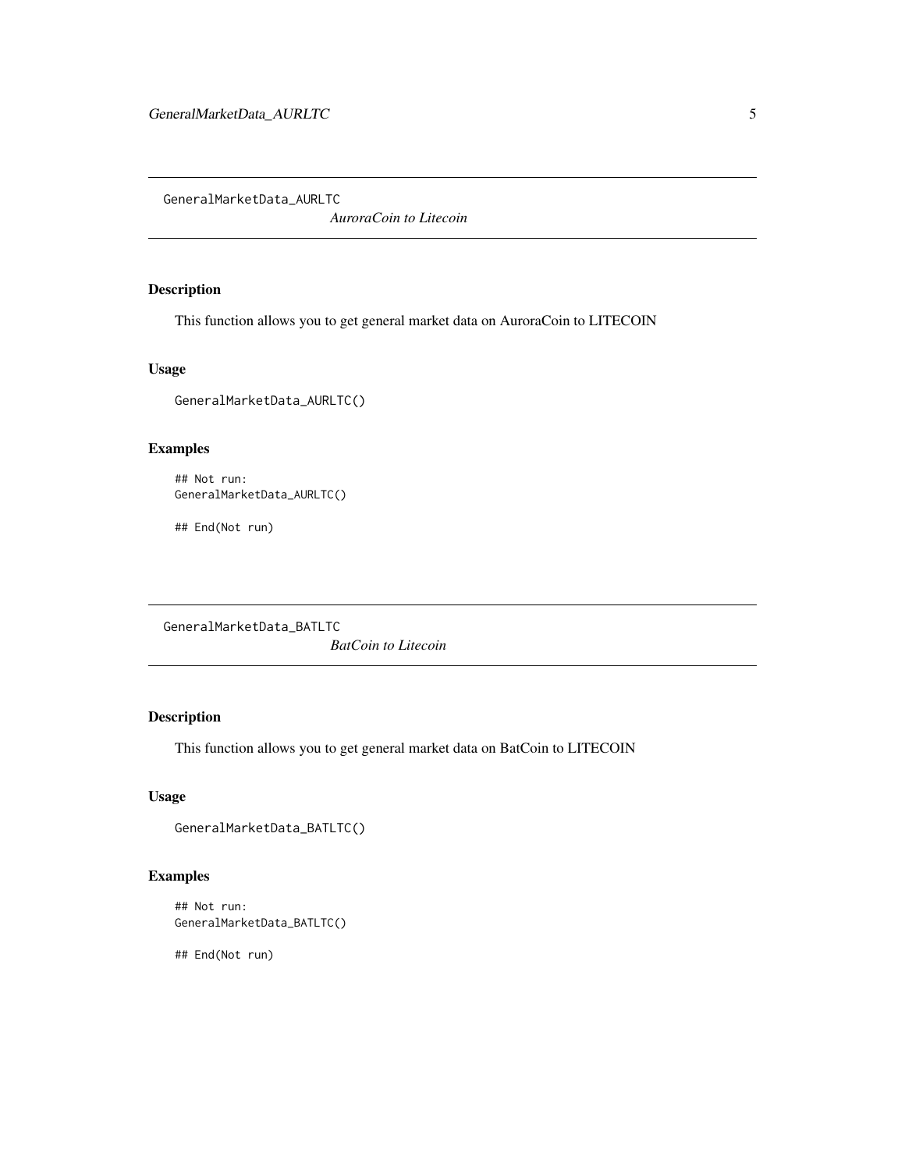<span id="page-4-0"></span>GeneralMarketData\_AURLTC

*AuroraCoin to Litecoin*

# Description

This function allows you to get general market data on AuroraCoin to LITECOIN

#### Usage

GeneralMarketData\_AURLTC()

# Examples

```
## Not run:
GeneralMarketData_AURLTC()
```
## End(Not run)

GeneralMarketData\_BATLTC

*BatCoin to Litecoin*

# Description

This function allows you to get general market data on BatCoin to LITECOIN

# Usage

```
GeneralMarketData_BATLTC()
```
# Examples

```
## Not run:
GeneralMarketData_BATLTC()
```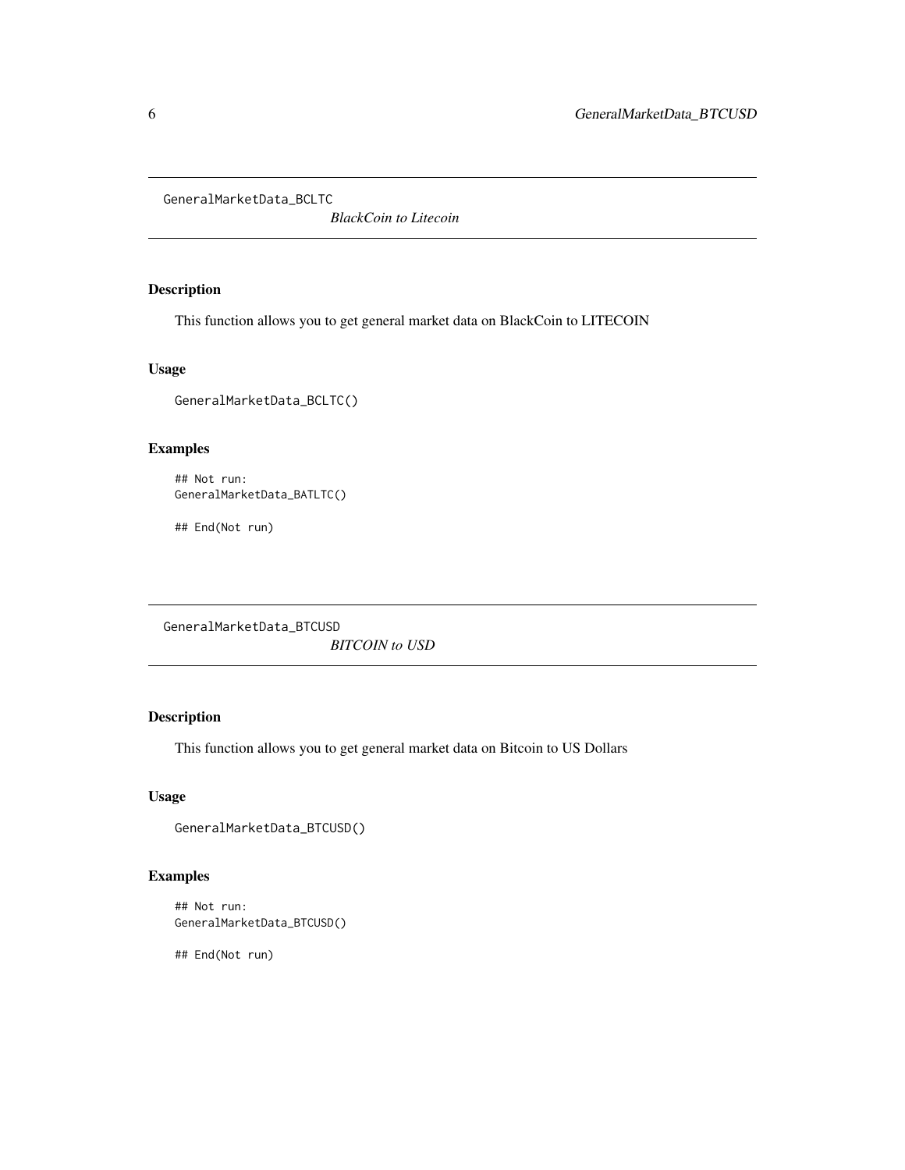<span id="page-5-0"></span>GeneralMarketData\_BCLTC

*BlackCoin to Litecoin*

# Description

This function allows you to get general market data on BlackCoin to LITECOIN

#### Usage

GeneralMarketData\_BCLTC()

# Examples

```
## Not run:
GeneralMarketData_BATLTC()
```
## End(Not run)

GeneralMarketData\_BTCUSD *BITCOIN to USD*

# Description

This function allows you to get general market data on Bitcoin to US Dollars

# Usage

```
GeneralMarketData_BTCUSD()
```
# Examples

```
## Not run:
GeneralMarketData_BTCUSD()
```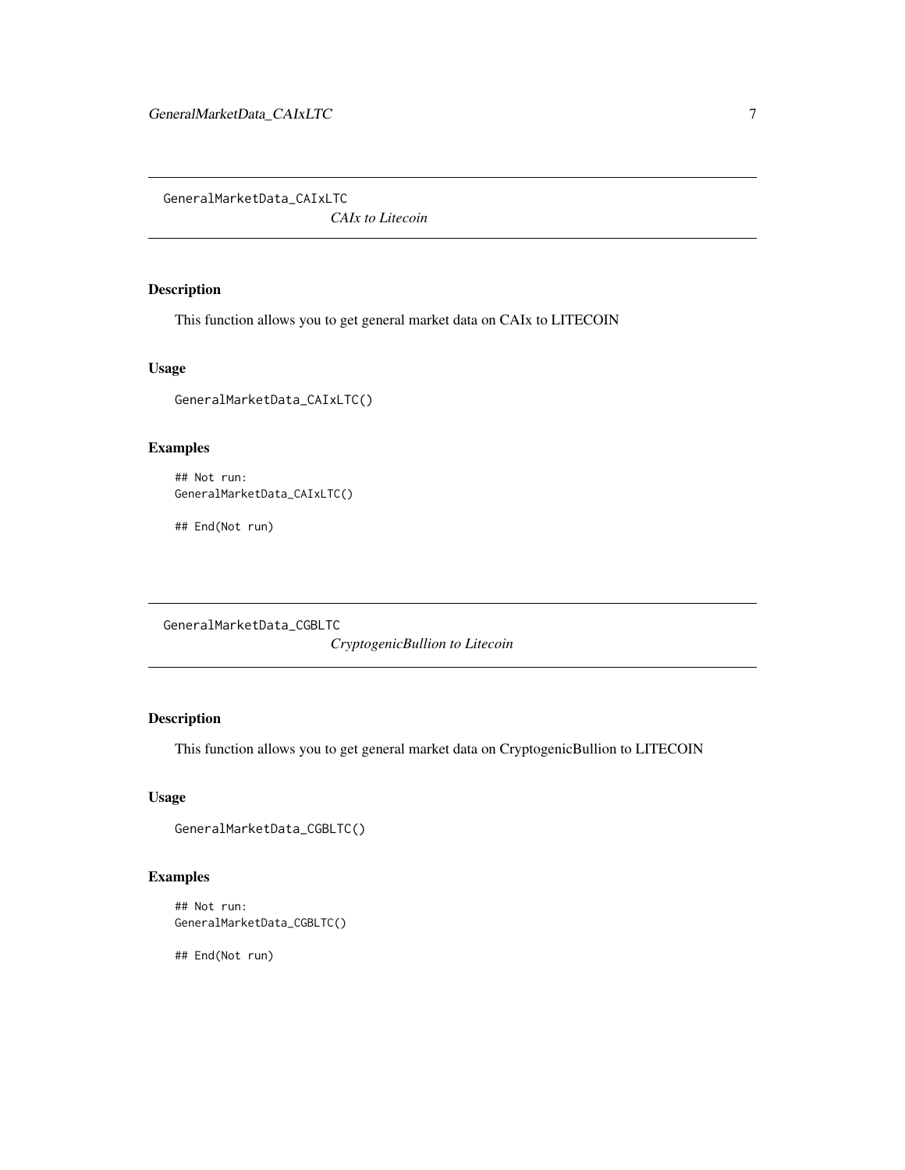<span id="page-6-0"></span>GeneralMarketData\_CAIxLTC

*CAIx to Litecoin*

# Description

This function allows you to get general market data on CAIx to LITECOIN

#### Usage

GeneralMarketData\_CAIxLTC()

# Examples

```
## Not run:
GeneralMarketData_CAIxLTC()
```
## End(Not run)

GeneralMarketData\_CGBLTC

*CryptogenicBullion to Litecoin*

# Description

This function allows you to get general market data on CryptogenicBullion to LITECOIN

# Usage

```
GeneralMarketData_CGBLTC()
```
# Examples

```
## Not run:
GeneralMarketData_CGBLTC()
```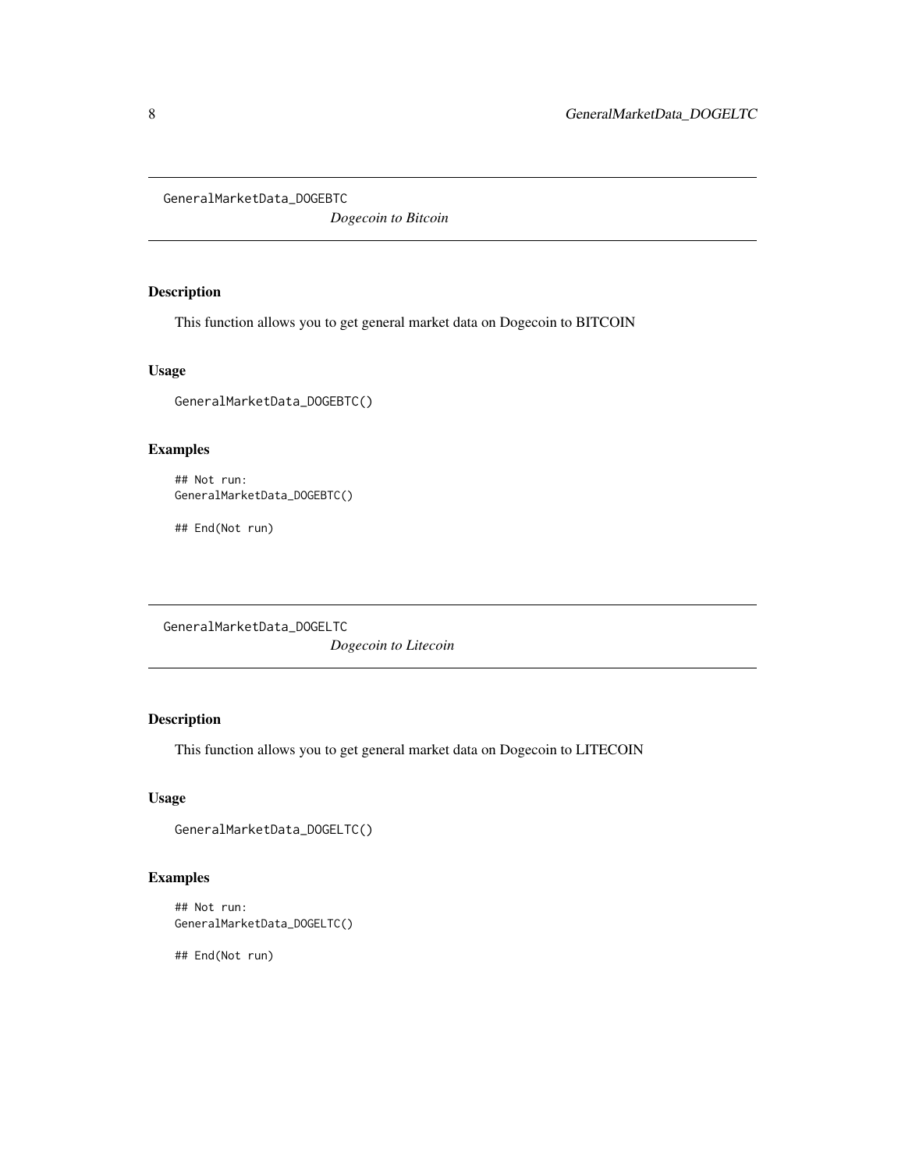<span id="page-7-0"></span>GeneralMarketData\_DOGEBTC

*Dogecoin to Bitcoin*

# Description

This function allows you to get general market data on Dogecoin to BITCOIN

#### Usage

GeneralMarketData\_DOGEBTC()

# Examples

```
## Not run:
GeneralMarketData_DOGEBTC()
```
## End(Not run)

GeneralMarketData\_DOGELTC

*Dogecoin to Litecoin*

# Description

This function allows you to get general market data on Dogecoin to LITECOIN

# Usage

```
GeneralMarketData_DOGELTC()
```
# Examples

```
## Not run:
GeneralMarketData_DOGELTC()
```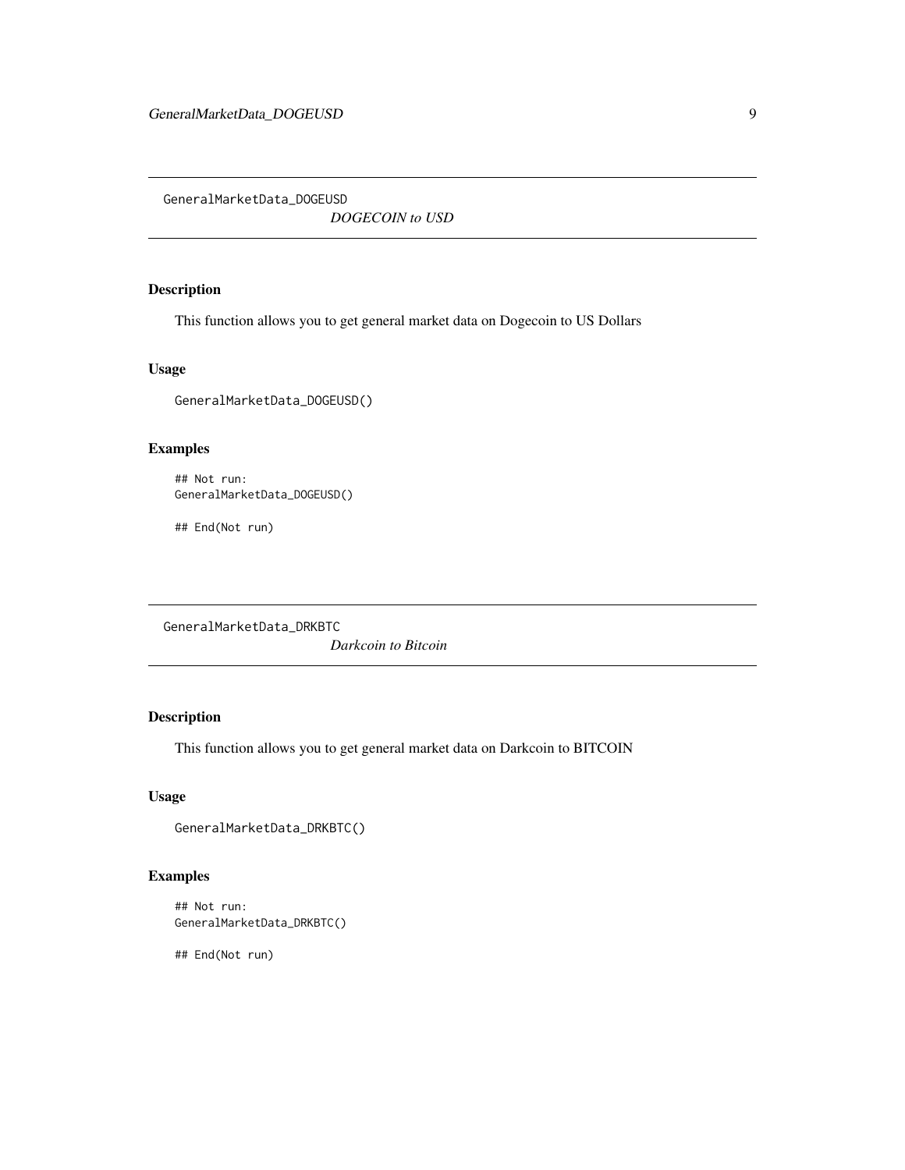<span id="page-8-0"></span>GeneralMarketData\_DOGEUSD

*DOGECOIN to USD*

# Description

This function allows you to get general market data on Dogecoin to US Dollars

#### Usage

GeneralMarketData\_DOGEUSD()

# Examples

```
## Not run:
GeneralMarketData_DOGEUSD()
```
## End(Not run)

GeneralMarketData\_DRKBTC

*Darkcoin to Bitcoin*

# Description

This function allows you to get general market data on Darkcoin to BITCOIN

# Usage

```
GeneralMarketData_DRKBTC()
```
# Examples

```
## Not run:
GeneralMarketData_DRKBTC()
```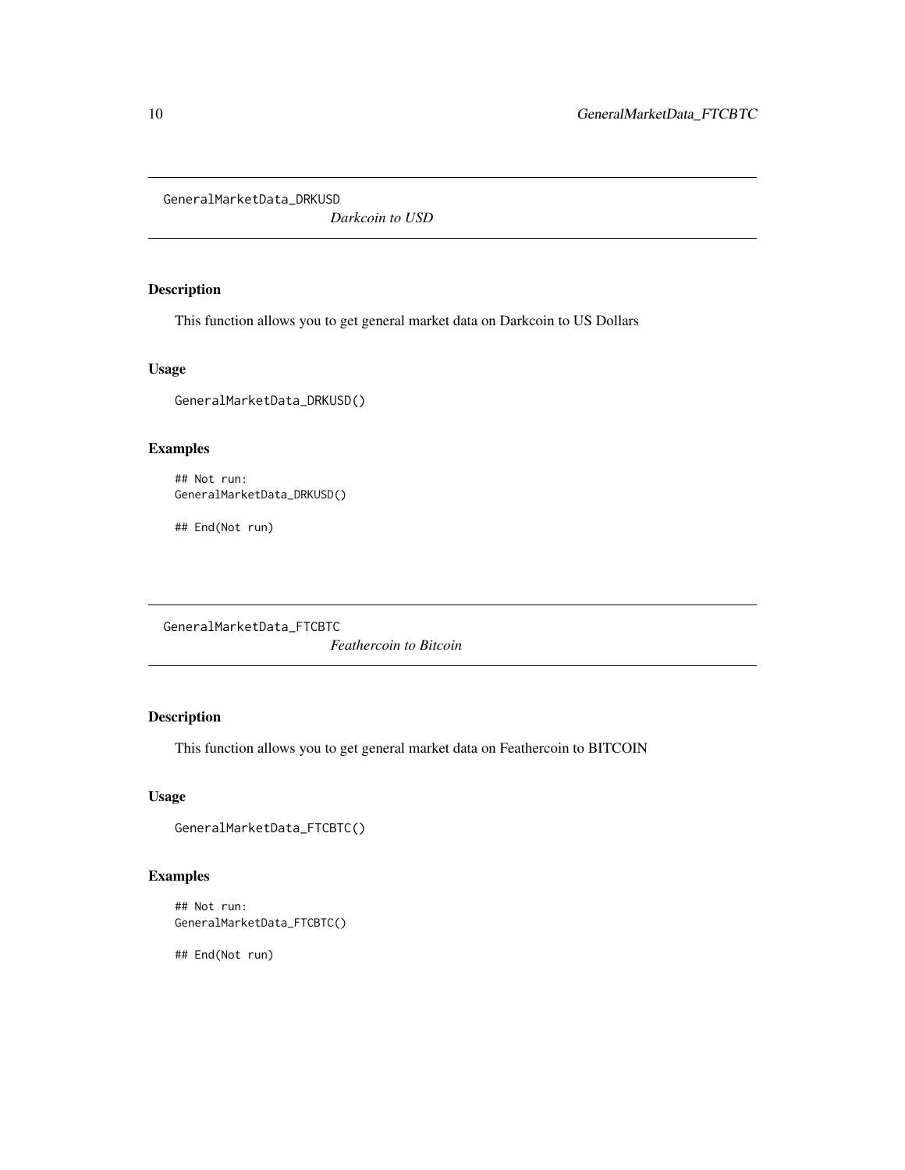<span id="page-9-0"></span>GeneralMarketData\_DRKUSD

*Darkcoin to USD*

# Description

This function allows you to get general market data on Darkcoin to US Dollars

#### Usage

GeneralMarketData\_DRKUSD()

# Examples

```
## Not run:
GeneralMarketData_DRKUSD()
```
## End(Not run)

GeneralMarketData\_FTCBTC

*Feathercoin to Bitcoin*

# Description

This function allows you to get general market data on Feathercoin to BITCOIN

# Usage

```
GeneralMarketData_FTCBTC()
```
# Examples

```
## Not run:
GeneralMarketData_FTCBTC()
```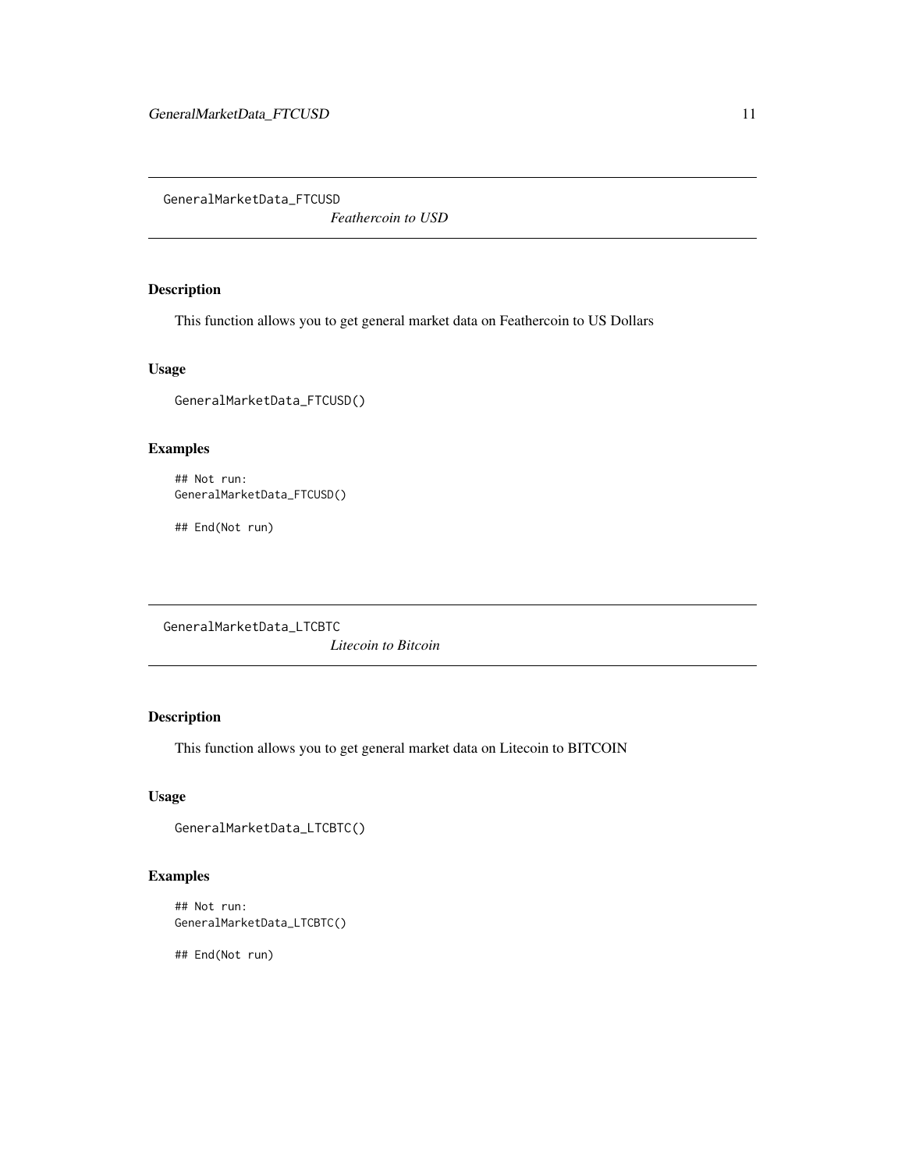<span id="page-10-0"></span>GeneralMarketData\_FTCUSD

*Feathercoin to USD*

# Description

This function allows you to get general market data on Feathercoin to US Dollars

#### Usage

GeneralMarketData\_FTCUSD()

# Examples

```
## Not run:
GeneralMarketData_FTCUSD()
```
## End(Not run)

GeneralMarketData\_LTCBTC

*Litecoin to Bitcoin*

# Description

This function allows you to get general market data on Litecoin to BITCOIN

# Usage

```
GeneralMarketData_LTCBTC()
```
# Examples

```
## Not run:
GeneralMarketData_LTCBTC()
```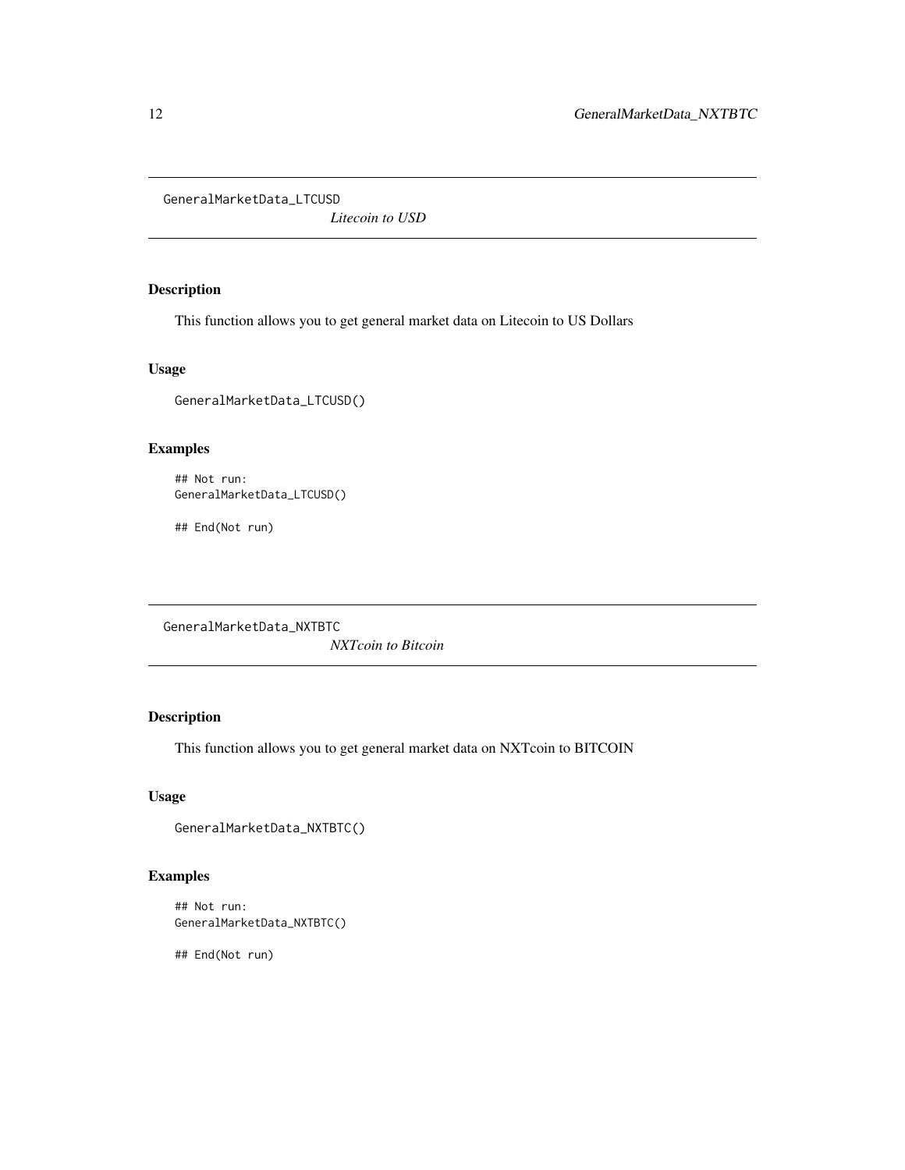<span id="page-11-0"></span>GeneralMarketData\_LTCUSD

*Litecoin to USD*

# Description

This function allows you to get general market data on Litecoin to US Dollars

#### Usage

GeneralMarketData\_LTCUSD()

# Examples

```
## Not run:
GeneralMarketData_LTCUSD()
```
## End(Not run)

GeneralMarketData\_NXTBTC

*NXTcoin to Bitcoin*

# Description

This function allows you to get general market data on NXTcoin to BITCOIN

# Usage

```
GeneralMarketData_NXTBTC()
```
# Examples

```
## Not run:
GeneralMarketData_NXTBTC()
```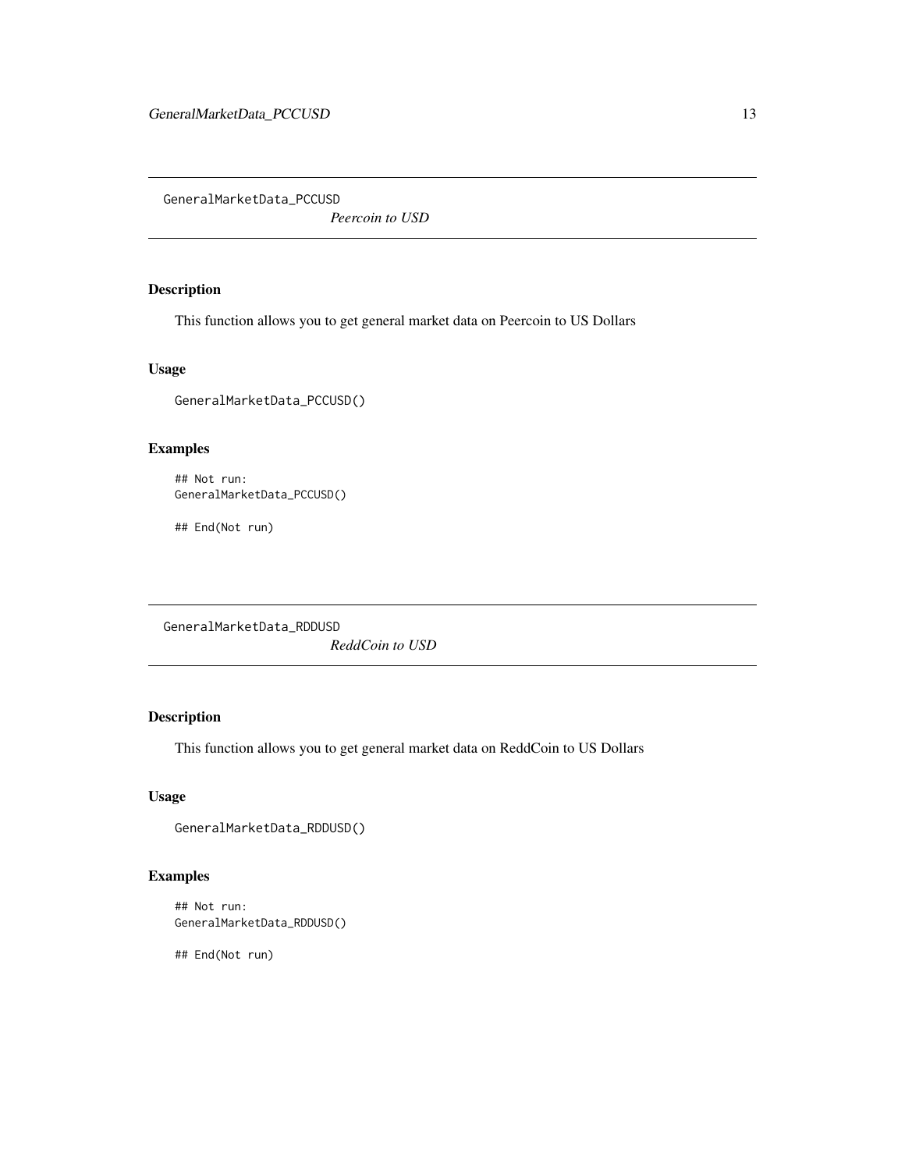<span id="page-12-0"></span>GeneralMarketData\_PCCUSD

*Peercoin to USD*

# Description

This function allows you to get general market data on Peercoin to US Dollars

#### Usage

GeneralMarketData\_PCCUSD()

# Examples

```
## Not run:
GeneralMarketData_PCCUSD()
```
## End(Not run)

GeneralMarketData\_RDDUSD

*ReddCoin to USD*

# Description

This function allows you to get general market data on ReddCoin to US Dollars

# Usage

```
GeneralMarketData_RDDUSD()
```
# Examples

```
## Not run:
GeneralMarketData_RDDUSD()
```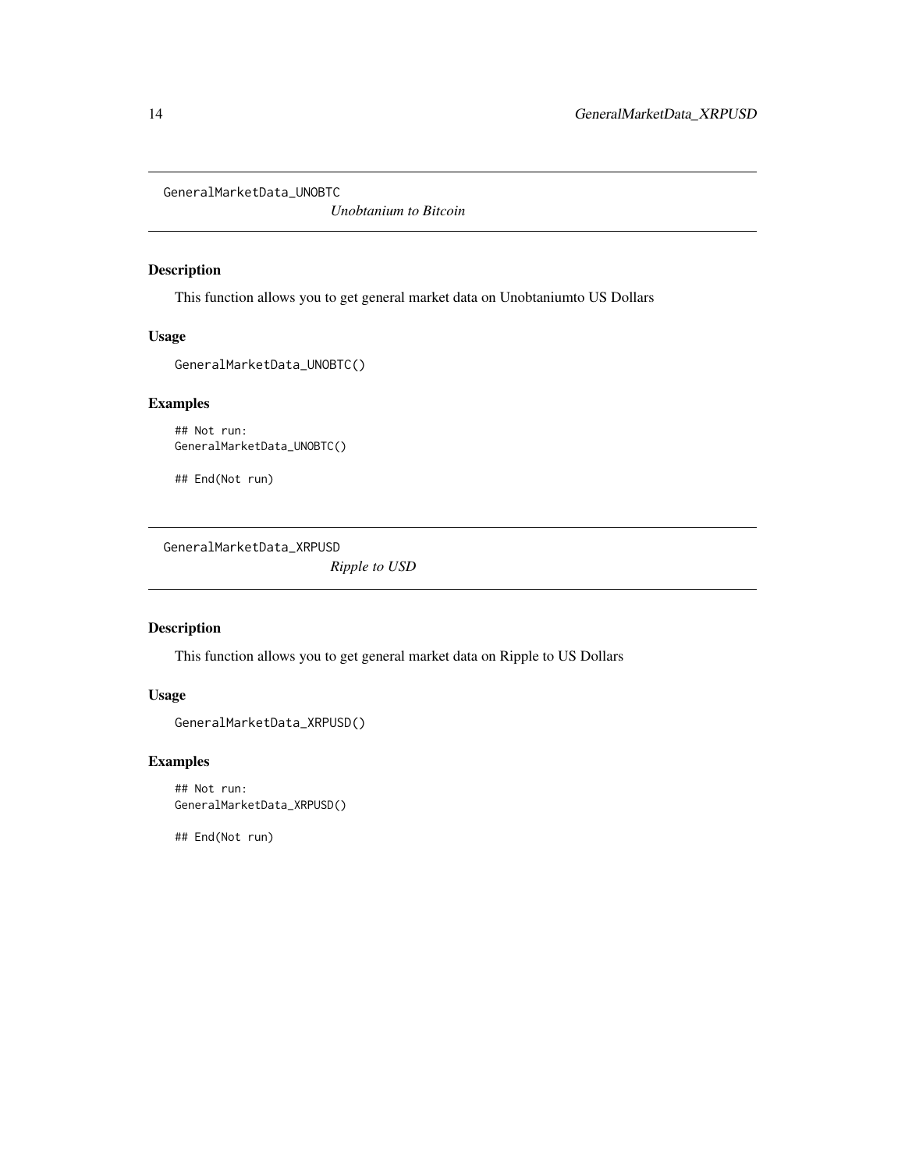<span id="page-13-0"></span>GeneralMarketData\_UNOBTC

*Unobtanium to Bitcoin*

# Description

This function allows you to get general market data on Unobtaniumto US Dollars

# Usage

GeneralMarketData\_UNOBTC()

# Examples

## Not run: GeneralMarketData\_UNOBTC()

## End(Not run)

GeneralMarketData\_XRPUSD

*Ripple to USD*

# Description

This function allows you to get general market data on Ripple to US Dollars

# Usage

```
GeneralMarketData_XRPUSD()
```
# Examples

## Not run: GeneralMarketData\_XRPUSD()